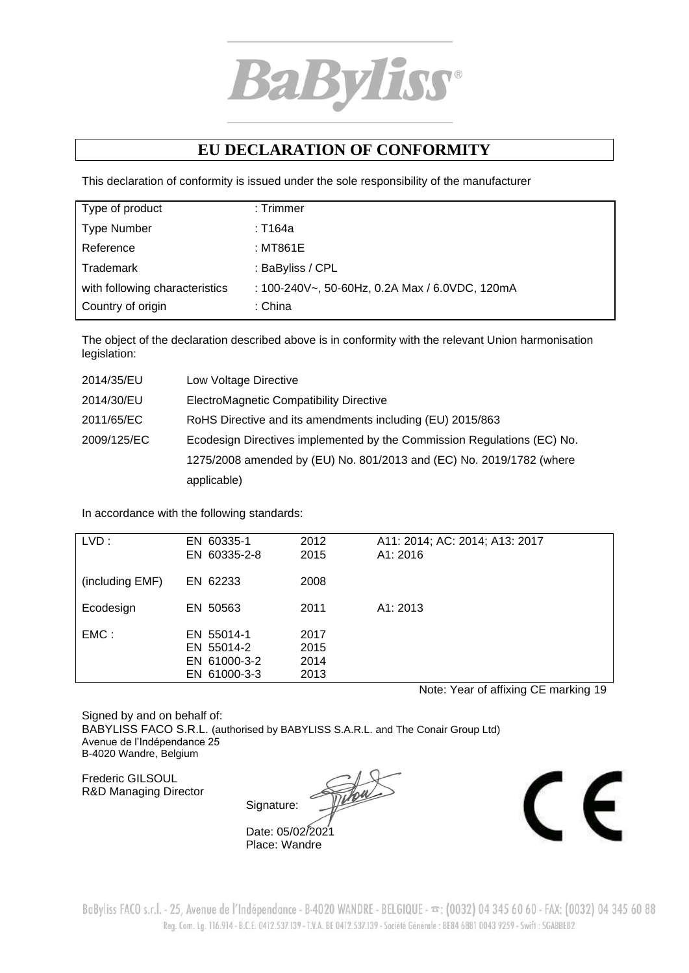

## **EU DECLARATION OF CONFORMITY**

This declaration of conformity is issued under the sole responsibility of the manufacturer

| Type of product                | $:$ Trimmer                                    |
|--------------------------------|------------------------------------------------|
| <b>Type Number</b>             | : T164a                                        |
| Reference                      | : MT861E                                       |
| Trademark                      | : BaByliss / CPL                               |
| with following characteristics | : 100-240V~, 50-60Hz, 0.2A Max / 6.0VDC, 120mA |
| Country of origin              | : China                                        |

The object of the declaration described above is in conformity with the relevant Union harmonisation legislation:

| 2014/35/EU  | Low Voltage Directive                                                   |
|-------------|-------------------------------------------------------------------------|
| 2014/30/EU  | ElectroMagnetic Compatibility Directive                                 |
| 2011/65/EC  | RoHS Directive and its amendments including (EU) 2015/863               |
| 2009/125/EC | Ecodesign Directives implemented by the Commission Regulations (EC) No. |
|             | 1275/2008 amended by (EU) No. 801/2013 and (EC) No. 2019/1782 (where    |
|             | applicable)                                                             |

In accordance with the following standards:

| LVD:            | EN 60335-1<br>EN 60335-2-8                               | 2012<br>2015                 | A11: 2014; AC: 2014; A13: 2017<br>A1: 2016 |
|-----------------|----------------------------------------------------------|------------------------------|--------------------------------------------|
| (including EMF) | EN 62233                                                 | 2008                         |                                            |
| Ecodesign       | EN 50563                                                 | 2011                         | A1: 2013                                   |
| $EMC$ :         | EN 55014-1<br>EN 55014-2<br>EN 61000-3-2<br>EN 61000-3-3 | 2017<br>2015<br>2014<br>2013 |                                            |

Note: Year of affixing CE marking 19

Signed by and on behalf of: BABYLISS FACO S.R.L. (authorised by BABYLISS S.A.R.L. and The Conair Group Ltd) Avenue de l'Indépendance 25 B-4020 Wandre, Belgium

Frederic GILSOUL R&D Managing Director

Signature:





BaByliss FACO s.r.l. - 25, Avenue de l'Indépendance - B-4020 WANDRE - BELGIQUE -  $\infty$ : (0032) 04 345 60 60 - FAX: (0032) 04 345 60 88 Reg. Com. Lg. 116.914 - B.C.E. 0412.537.139 - T.V.A. BE 0412.537.139 - Société Générale : BE84 6881 0043 9259 - Swift : SGABBEB2